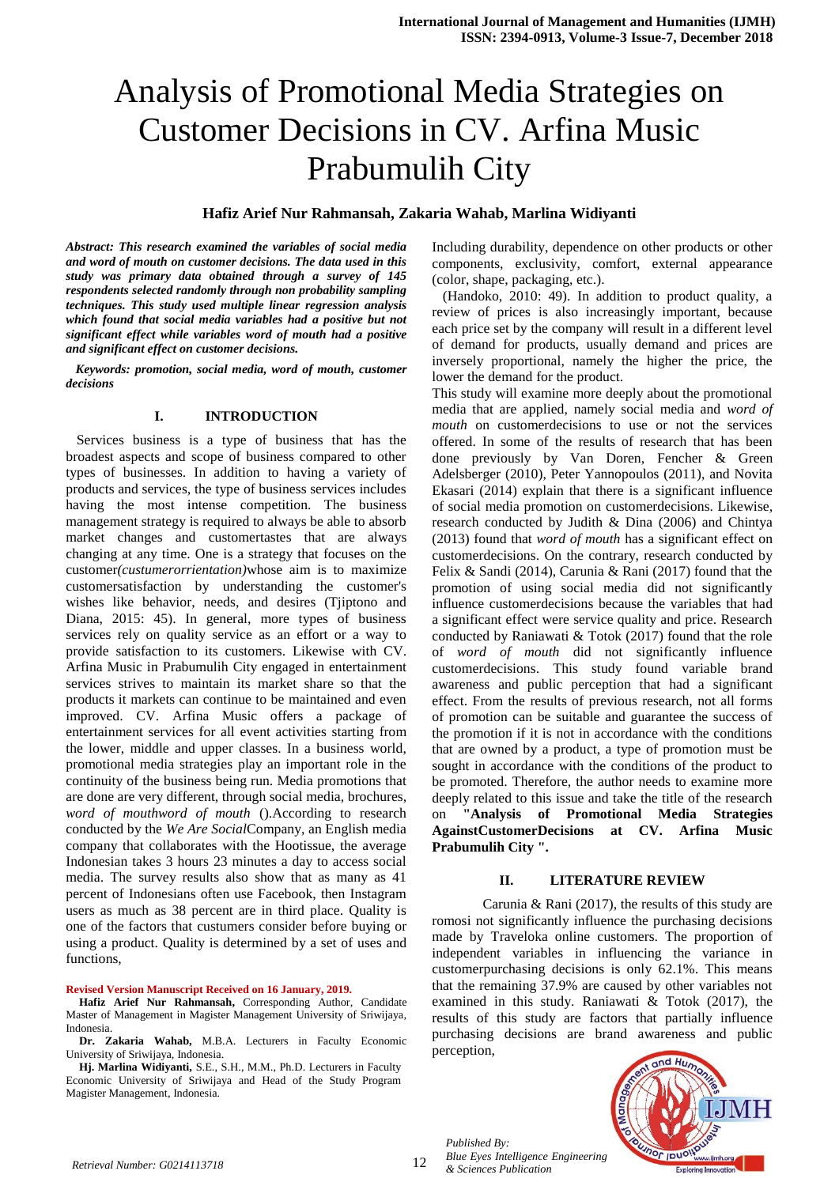# Analysis of Promotional Media Strategies on Customer Decisions in CV. Arfina Music Prabumulih City

# **Hafiz Arief Nur Rahmansah, Zakaria Wahab, Marlina Widiyanti**

*Abstract: This research examined the variables of social media and word of mouth on customer decisions. The data used in this study was primary data obtained through a survey of 145 respondents selected randomly through non probability sampling techniques. This study used multiple linear regression analysis which found that social media variables had a positive but not significant effect while variables word of mouth had a positive and significant effect on customer decisions.*

*Keywords: promotion, social media, word of mouth, customer decisions*

## **I. INTRODUCTION**

Services business is a type of business that has the broadest aspects and scope of business compared to other types of businesses. In addition to having a variety of products and services, the type of business services includes having the most intense competition. The business management strategy is required to always be able to absorb market changes and customertastes that are always changing at any time. One is a strategy that focuses on the customer*(custumerorrientation)*whose aim is to maximize customersatisfaction by understanding the customer's wishes like behavior, needs, and desires (Tjiptono and Diana, 2015: 45). In general, more types of business services rely on quality service as an effort or a way to provide satisfaction to its customers. Likewise with CV. Arfina Music in Prabumulih City engaged in entertainment services strives to maintain its market share so that the products it markets can continue to be maintained and even improved. CV. Arfina Music offers a package of entertainment services for all event activities starting from the lower, middle and upper classes. In a business world, promotional media strategies play an important role in the continuity of the business being run. Media promotions that are done are very different, through social media, brochures, *word of mouthword of mouth* ().According to research conducted by the *We Are Social*Company, an English media company that collaborates with the Hootissue, the average Indonesian takes 3 hours 23 minutes a day to access social media. The survey results also show that as many as 41 percent of Indonesians often use Facebook, then Instagram users as much as 38 percent are in third place. Quality is one of the factors that custumers consider before buying or using a product. Quality is determined by a set of uses and functions,

#### **Revised Version Manuscript Received on 16 January, 2019.**

**Hafiz Arief Nur Rahmansah,** Corresponding Author, Candidate Master of Management in Magister Management University of Sriwijaya, Indonesia.

**Dr. Zakaria Wahab,** M.B.A. Lecturers in Faculty Economic University of Sriwijaya, Indonesia.

**Hj. Marlina Widiyanti,** S.E., S.H., M.M., Ph.D. Lecturers in Faculty Economic University of Sriwijaya and Head of the Study Program Magister Management, Indonesia.

Including durability, dependence on other products or other components, exclusivity, comfort, external appearance (color, shape, packaging, etc.).

(Handoko, 2010: 49). In addition to product quality, a review of prices is also increasingly important, because each price set by the company will result in a different level of demand for products, usually demand and prices are inversely proportional, namely the higher the price, the lower the demand for the product.

This study will examine more deeply about the promotional media that are applied, namely social media and *word of mouth* on customerdecisions to use or not the services offered. In some of the results of research that has been done previously by Van Doren, Fencher & Green Adelsberger (2010), Peter Yannopoulos (2011), and Novita Ekasari (2014) explain that there is a significant influence of social media promotion on customerdecisions. Likewise, research conducted by Judith & Dina (2006) and Chintya (2013) found that *word of mouth* has a significant effect on customerdecisions. On the contrary, research conducted by Felix & Sandi (2014), Carunia & Rani (2017) found that the promotion of using social media did not significantly influence customerdecisions because the variables that had a significant effect were service quality and price. Research conducted by Raniawati & Totok (2017) found that the role of *word of mouth* did not significantly influence customerdecisions. This study found variable brand awareness and public perception that had a significant effect. From the results of previous research, not all forms of promotion can be suitable and guarantee the success of the promotion if it is not in accordance with the conditions that are owned by a product, a type of promotion must be sought in accordance with the conditions of the product to be promoted. Therefore, the author needs to examine more deeply related to this issue and take the title of the research on **"Analysis of Promotional Media Strategies AgainstCustomerDecisions at CV. Arfina Music Prabumulih City ".**

#### **II. LITERATURE REVIEW**

Carunia & Rani (2017), the results of this study are romosi not significantly influence the purchasing decisions made by Traveloka online customers. The proportion of independent variables in influencing the variance in customerpurchasing decisions is only 62.1%. This means that the remaining 37.9% are caused by other variables not examined in this study. Raniawati & Totok (2017), the results of this study are factors that partially influence purchasing decisions are brand awareness and public perception,



*Published By:*

*Blue Eyes Intelligence Engineering*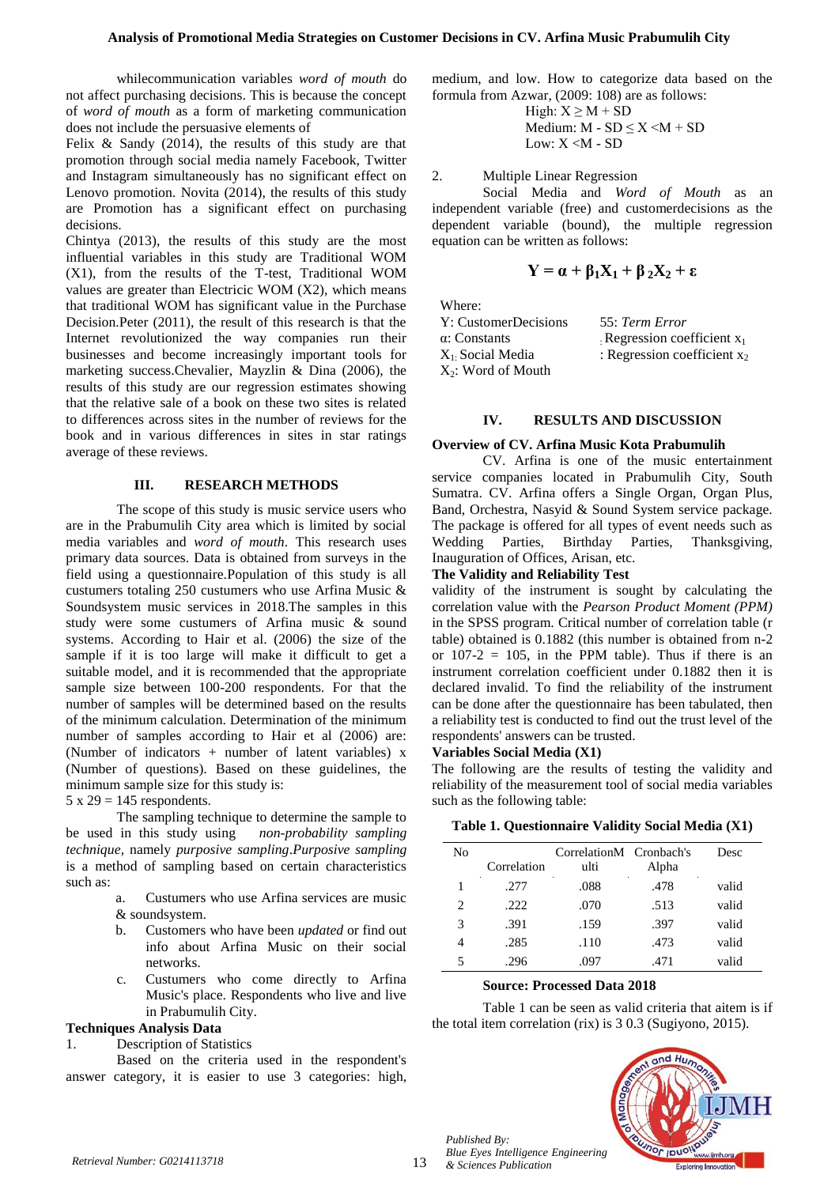whilecommunication variables *word of mouth* do not affect purchasing decisions. This is because the concept of *word of mouth* as a form of marketing communication does not include the persuasive elements of

Felix & Sandy (2014), the results of this study are that promotion through social media namely Facebook, Twitter and Instagram simultaneously has no significant effect on Lenovo promotion. Novita (2014), the results of this study are Promotion has a significant effect on purchasing decisions.

Chintya (2013), the results of this study are the most influential variables in this study are Traditional WOM (X1), from the results of the T-test, Traditional WOM values are greater than Electricic WOM (X2), which means that traditional WOM has significant value in the Purchase Decision.Peter (2011), the result of this research is that the Internet revolutionized the way companies run their businesses and become increasingly important tools for marketing success.Chevalier, Mayzlin & Dina (2006), the results of this study are our regression estimates showing that the relative sale of a book on these two sites is related to differences across sites in the number of reviews for the book and in various differences in sites in star ratings average of these reviews.

## **III. RESEARCH METHODS**

The scope of this study is music service users who are in the Prabumulih City area which is limited by social media variables and *word of mouth*. This research uses primary data sources. Data is obtained from surveys in the field using a questionnaire.Population of this study is all custumers totaling 250 custumers who use Arfina Music & Soundsystem music services in 2018.The samples in this study were some custumers of Arfina music & sound systems. According to Hair et al. (2006) the size of the sample if it is too large will make it difficult to get a suitable model, and it is recommended that the appropriate sample size between 100-200 respondents. For that the number of samples will be determined based on the results of the minimum calculation. Determination of the minimum number of samples according to Hair et al (2006) are: (Number of indicators + number of latent variables) x (Number of questions). Based on these guidelines, the minimum sample size for this study is:

 $5 \times 29 = 145$  respondents.

The sampling technique to determine the sample to be used in this study using *non-probability sampling technique,* namely *purposive sampling*.*Purposive sampling*  is a method of sampling based on certain characteristics such as:

- a. Custumers who use Arfina services are music & soundsystem.
- b. Customers who have been *updated* or find out info about Arfina Music on their social networks.
- c. Custumers who come directly to Arfina Music's place. Respondents who live and live in Prabumulih City.

# **Techniques Analysis Data**

1. Description of Statistics

Based on the criteria used in the respondent's answer category, it is easier to use 3 categories: high,

medium, and low. How to categorize data based on the formula from Azwar, (2009: 108) are as follows:

> High:  $X \ge M + SD$ Medium:  $M - SD \leq X \leq M + SD$ Low:  $X < M - SD$

2. Multiple Linear Regression

Social Media and *Word of Mouth* as an independent variable (free) and customerdecisions as the dependent variable (bound), the multiple regression equation can be written as follows:

$$
Y = \alpha + \beta_1 X_1 + \beta_2 X_2 + \epsilon
$$

Where:

| Y: CustomerDecisions  | 55: Term Error                 |
|-----------------------|--------------------------------|
| $\alpha$ : Constants  | Regression coefficient $x_1$   |
| $X_1$ Social Media    | : Regression coefficient $x_2$ |
| $X_2$ : Word of Mouth |                                |

# **IV. RESULTS AND DISCUSSION**

#### **Overview of CV. Arfina Music Kota Prabumulih**

CV. Arfina is one of the music entertainment service companies located in Prabumulih City, South Sumatra. CV. Arfina offers a Single Organ, Organ Plus, Band, Orchestra, Nasyid & Sound System service package. The package is offered for all types of event needs such as Wedding Parties, Birthday Parties, Thanksgiving, Inauguration of Offices, Arisan, etc.

#### **The Validity and Reliability Test**

validity of the instrument is sought by calculating the correlation value with the *Pearson Product Moment (PPM)*  in the SPSS program. Critical number of correlation table (r table) obtained is 0.1882 (this number is obtained from n-2 or  $107-2 = 105$ , in the PPM table). Thus if there is an instrument correlation coefficient under 0.1882 then it is declared invalid. To find the reliability of the instrument can be done after the questionnaire has been tabulated, then a reliability test is conducted to find out the trust level of the respondents' answers can be trusted.

#### **Variables Social Media (X1)**

The following are the results of testing the validity and reliability of the measurement tool of social media variables such as the following table:

## **Table 1. Questionnaire Validity Social Media (X1)**

| No |             | CorrelationM Cronbach's |       | Desc  |
|----|-------------|-------------------------|-------|-------|
|    | Correlation | ulti                    | Alpha |       |
|    | .277        | .088                    | .478  | valid |
| 2  | .222        | .070                    | .513  | valid |
| 3  | .391        | .159                    | .397  | valid |
| 4  | .285        | .110                    | .473  | valid |
| 5  | .296        | .097                    | .471  | valid |

#### **Source: Processed Data 2018**

Table 1 can be seen as valid criteria that aitem is if the total item correlation (rix) is 3 0.3 (Sugiyono, 2015).



*Published By:*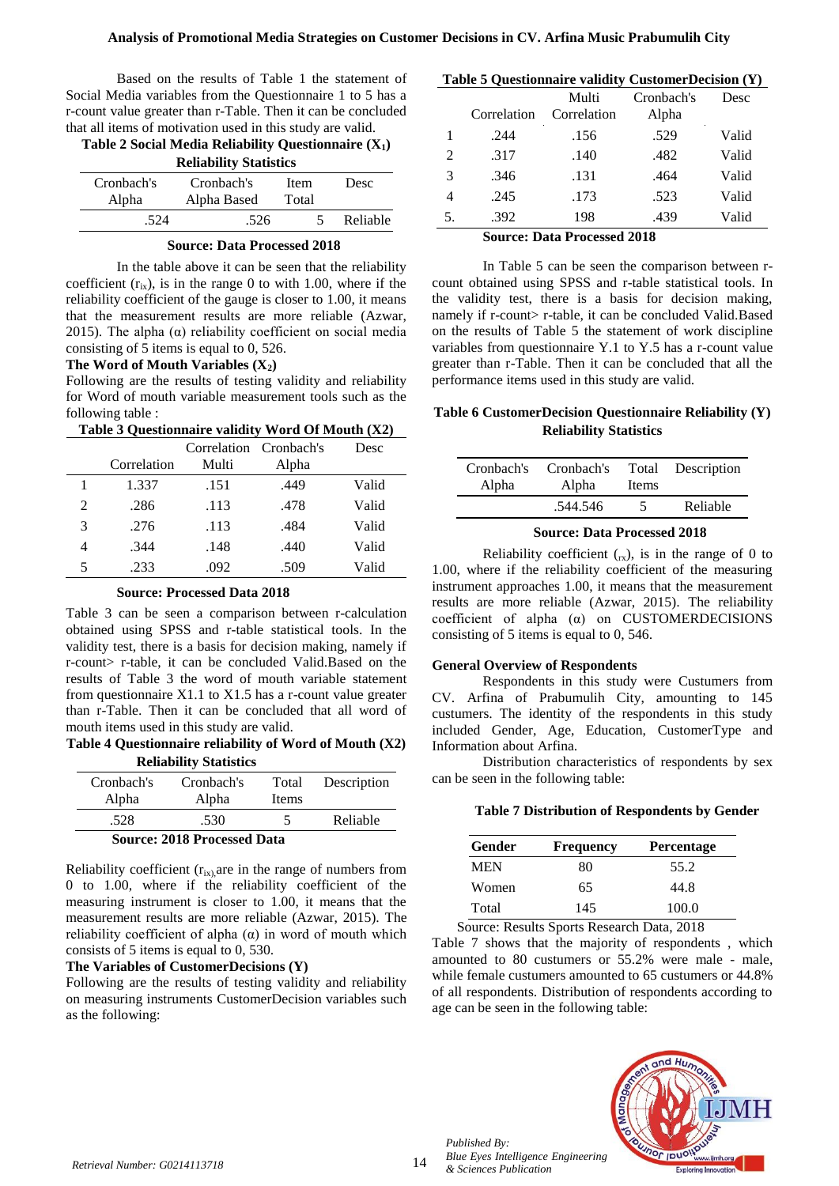Based on the results of Table 1 the statement of Social Media variables from the Questionnaire 1 to 5 has a r-count value greater than r-Table. Then it can be concluded that all items of motivation used in this study are valid.

| Table 2 Social Media Reliability Questionnaire $(X_1)$ |                               |               |          |
|--------------------------------------------------------|-------------------------------|---------------|----------|
|                                                        | <b>Reliability Statistics</b> |               |          |
| Cronbach's<br>Alpha                                    | Cronbach's<br>Alpha Based     | Item<br>Total | Desc     |
| -524                                                   | .526                          |               | Reliable |
|                                                        |                               |               |          |

#### **Source: Data Processed 2018**

In the table above it can be seen that the reliability coefficient  $(r_{ix})$ , is in the range 0 to with 1.00, where if the reliability coefficient of the gauge is closer to 1.00, it means that the measurement results are more reliable (Azwar, 2015). The alpha  $(\alpha)$  reliability coefficient on social media consisting of 5 items is equal to 0, 526.

## **The Word of Mouth Variables (X2)**

Following are the results of testing validity and reliability for Word of mouth variable measurement tools such as the following table :<br>
Table 2 Overt  $T_{\text{max}}$   $T_{\text{max}}$   $T_{\text{max}}$   $T_{\text{max}}$ 

| <b>Lable 5 Questionnaire validity word Of Mouth (<math>\Delta Z</math>)</b> |                      |                          |
|-----------------------------------------------------------------------------|----------------------|--------------------------|
|                                                                             | Completion Composite | $D_{\alpha\alpha\alpha}$ |

| Correlation<br>Multi<br>Alpha<br>1.337<br>.449<br>Valid<br>.151 |  |
|-----------------------------------------------------------------|--|
|                                                                 |  |
|                                                                 |  |
| .113<br>.478<br>2<br>Valid<br>.286                              |  |
| 3<br>.276<br>.113<br>.484<br>Valid                              |  |
| .344<br>Valid<br>.148<br>.440<br>4                              |  |
| .092<br>.233<br>5<br>.509<br>Valid                              |  |

#### **Source: Processed Data 2018**

Table 3 can be seen a comparison between r-calculation obtained using SPSS and r-table statistical tools. In the validity test, there is a basis for decision making, namely if r-count> r-table, it can be concluded Valid.Based on the results of Table 3 the word of mouth variable statement from questionnaire X1.1 to X1.5 has a r-count value greater than r-Table. Then it can be concluded that all word of mouth items used in this study are valid.

**Table 4 Questionnaire reliability of Word of Mouth (X2) Reliability Statistics**

| Cronbach's<br>Alpha                | Cronbach's<br>Alpha | Total<br>Items | Description |  |
|------------------------------------|---------------------|----------------|-------------|--|
| .528                               | .530                |                | Reliable    |  |
| <b>Source: 2018 Processed Data</b> |                     |                |             |  |

Reliability coefficient  $(r_{ix)}$  are in the range of numbers from 0 to 1.00, where if the reliability coefficient of the measuring instrument is closer to 1.00, it means that the measurement results are more reliable (Azwar, 2015). The reliability coefficient of alpha  $(α)$  in word of mouth which consists of 5 items is equal to 0, 530.

#### **The Variables of CustomerDecisions (Y)**

Following are the results of testing validity and reliability on measuring instruments CustomerDecision variables such as the following:

#### **Table 5 Questionnaire validity CustomerDecision (Y)**

|    | Correlation | Multi<br>Correlation | Cronbach's<br>Alpha | Desc  |
|----|-------------|----------------------|---------------------|-------|
|    | .244        | .156                 | .529                | Valid |
| 2  | .317        | .140                 | .482                | Valid |
| 3  | .346        | .131                 | .464                | Valid |
| 4  | .245        | .173                 | .523                | Valid |
| 5. | .392        | 198                  | .439                | Valid |

#### **Source: Data Processed 2018**

In Table 5 can be seen the comparison between rcount obtained using SPSS and r-table statistical tools. In the validity test, there is a basis for decision making, namely if r-count> r-table, it can be concluded Valid.Based on the results of Table 5 the statement of work discipline variables from questionnaire Y.1 to Y.5 has a r-count value greater than r-Table. Then it can be concluded that all the performance items used in this study are valid.

# **Table 6 CustomerDecision Questionnaire Reliability (Y) Reliability Statistics**

| Cronbach's | Cronbach's | Total        | Description |
|------------|------------|--------------|-------------|
| Alpha      | Alpha      | <b>Items</b> |             |
|            | .544.546   | ╮            | Reliable    |

#### **Source: Data Processed 2018**

Reliability coefficient  $(x<sub>x</sub>)$ , is in the range of 0 to 1.00, where if the reliability coefficient of the measuring instrument approaches 1.00, it means that the measurement results are more reliable (Azwar, 2015). The reliability coefficient of alpha (α) on CUSTOMERDECISIONS consisting of 5 items is equal to 0, 546.

#### **General Overview of Respondents**

Respondents in this study were Custumers from CV. Arfina of Prabumulih City, amounting to 145 custumers. The identity of the respondents in this study included Gender, Age, Education, CustomerType and Information about Arfina.

Distribution characteristics of respondents by sex can be seen in the following table:

## **Table 7 Distribution of Respondents by Gender**

| Gender | Frequency | <b>Percentage</b> |
|--------|-----------|-------------------|
| MEN    | 80        | 55.2              |
| Women  | 65        | 44.8              |
| Total  | 145       | 100.0             |

Source: Results Sports Research Data, 2018

Table 7 shows that the majority of respondents , which amounted to 80 custumers or 55.2% were male - male, while female custumers amounted to 65 custumers or 44.8% of all respondents. Distribution of respondents according to age can be seen in the following table:



*Published By:*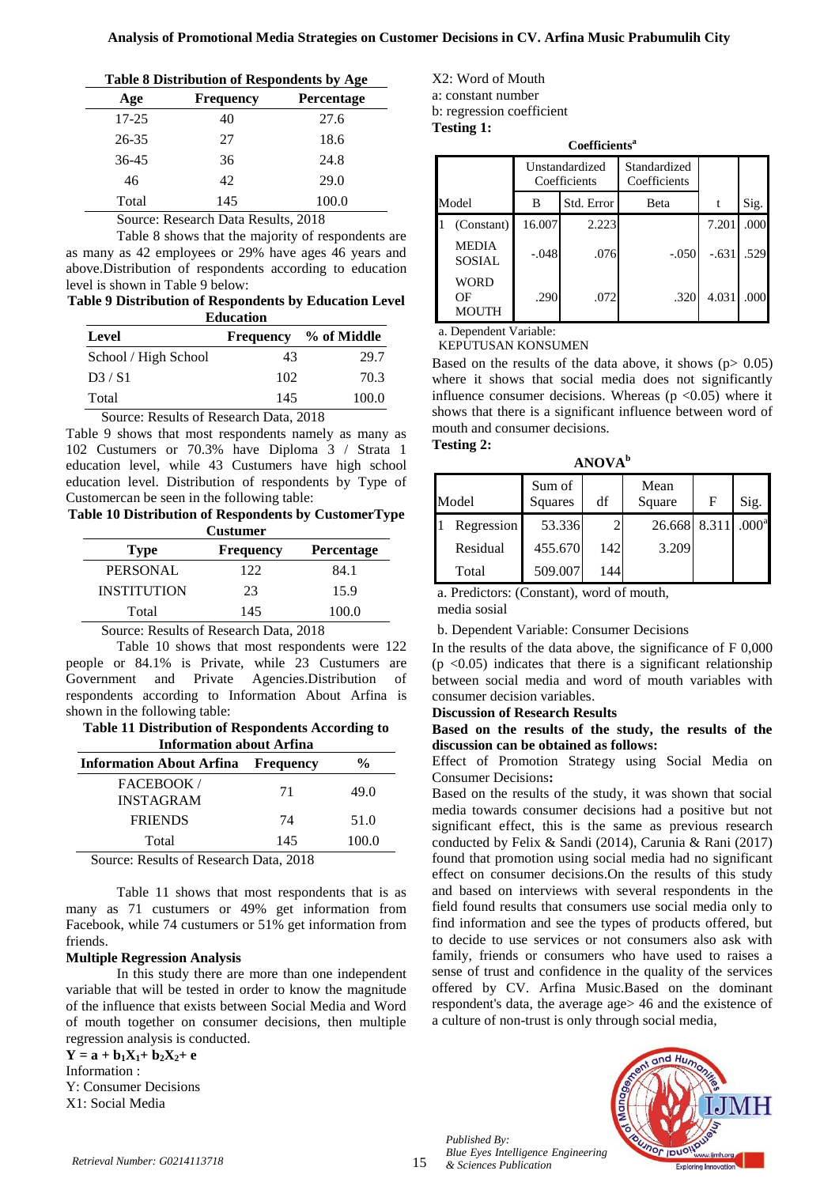| Table 8 Distribution of Respondents by Age |  |  |  |
|--------------------------------------------|--|--|--|
|--------------------------------------------|--|--|--|

| Age       | <b>Frequency</b> | Percentage |
|-----------|------------------|------------|
| $17 - 25$ | 40               | 27.6       |
| $26 - 35$ | 27               | 18.6       |
| $36 - 45$ | 36               | 24.8       |
| 46        | 42               | 29.0       |
| Total     | 145              | 100.0      |

Source: Research Data Results, 2018

Table 8 shows that the majority of respondents are as many as 42 employees or 29% have ages 46 years and above.Distribution of respondents according to education level is shown in Table 9 below:

**Table 9 Distribution of Respondents by Education Level Education**

| Level                                  | <b>Frequency</b> | % of Middle |  |  |
|----------------------------------------|------------------|-------------|--|--|
| School / High School                   | 43               | 29.7        |  |  |
| D3/S1                                  | 102              | 70.3        |  |  |
| Total                                  | 145              | 100.0       |  |  |
| Source: Results of Research Data, 2018 |                  |             |  |  |

Table 9 shows that most respondents namely as many as 102 Custumers or 70.3% have Diploma 3 / Strata 1

education level, while 43 Custumers have high school education level. Distribution of respondents by Type of Customercan be seen in the following table:

| Table 10 Distribution of Respondents by CustomerType |                 |  |
|------------------------------------------------------|-----------------|--|
|                                                      | <b>Custumer</b> |  |

| <b>Type</b>        | <b>Frequency</b> | <b>Percentage</b> |
|--------------------|------------------|-------------------|
| <b>PERSONAL</b>    | 122              | 84.1              |
| <b>INSTITUTION</b> | 23               | 15.9              |
| Total              | 145              | 100.0             |

Source: Results of Research Data, 2018

Table 10 shows that most respondents were 122 people or 84.1% is Private, while 23 Custumers are Government and Private Agencies.Distribution of respondents according to Information About Arfina is shown in the following table:

## **Table 11 Distribution of Respondents According to Information about Arfina**

| <b>Information About Arfina</b> Frequency |     | %     |
|-------------------------------------------|-----|-------|
| FACEBOOK/<br><b>INSTAGRAM</b>             | 71  | 49.0  |
| <b>FRIENDS</b>                            | 74  | 51.0  |
| Total                                     | 145 | 100.0 |
| Cource: Results of Research Data 2018     |     |       |

Source: Results of Research Data, 2018

Table 11 shows that most respondents that is as many as 71 custumers or 49% get information from Facebook, while 74 custumers or 51% get information from friends.

## **Multiple Regression Analysis**

In this study there are more than one independent variable that will be tested in order to know the magnitude of the influence that exists between Social Media and Word of mouth together on consumer decisions, then multiple regression analysis is conducted.

 $Y = a + b_1X_1 + b_2X_2 + e$ Information :

Y: Consumer Decisions X1: Social Media

X2: Word of Mouth a: constant number b: regression coefficient **Testing 1:**

**Coefficients<sup>a</sup>**

|                               | Unstandardized<br>Coefficients |            | Standardized<br>Coefficients |         |      |
|-------------------------------|--------------------------------|------------|------------------------------|---------|------|
| Model                         | B                              | Std. Error | Beta                         |         | Sig. |
| (Constant)                    | 16.007                         | 2.223      |                              | 7.201   | .000 |
| <b>MEDIA</b><br><b>SOSIAL</b> | $-.048$                        | .076       | $-.050$                      | $-.631$ | .529 |
| WORD<br>OΕ<br><b>MOUTH</b>    | .290                           | .072       | .320                         | 4.031   | .000 |

a. Dependent Variable: KEPUTUSAN KONSUMEN

Based on the results of the data above, it shows ( $p > 0.05$ ) where it shows that social media does not significantly influence consumer decisions. Whereas ( $p \le 0.05$ ) where it shows that there is a significant influence between word of mouth and consumer decisions. **Testing 2:** 

**ANOVA<sup>b</sup>**

| . <b>.</b> <i>.</i> |                   |     |                |       |                   |
|---------------------|-------------------|-----|----------------|-------|-------------------|
| Model               | Sum of<br>Squares | df  | Mean<br>Square | F     | Sig.              |
| Regression          | 53.336            |     | 26.668         | 8.311 | .000 <sup>a</sup> |
| Residual            | 455.670           | 142 | 3.209          |       |                   |
| Total               | 509.007           | 144 |                |       |                   |

a. Predictors: (Constant), word of mouth, media sosial

b. Dependent Variable: Consumer Decisions

In the results of the data above, the significance of F 0,000  $(p \le 0.05)$  indicates that there is a significant relationship between social media and word of mouth variables with consumer decision variables.

# **Discussion of Research Results**

**Based on the results of the study, the results of the discussion can be obtained as follows:**

Effect of Promotion Strategy using Social Media on Consumer Decisions**:**

Based on the results of the study, it was shown that social media towards consumer decisions had a positive but not significant effect, this is the same as previous research conducted by Felix & Sandi (2014), Carunia & Rani (2017) found that promotion using social media had no significant effect on consumer decisions.On the results of this study and based on interviews with several respondents in the field found results that consumers use social media only to find information and see the types of products offered, but to decide to use services or not consumers also ask with family, friends or consumers who have used to raises a sense of trust and confidence in the quality of the services offered by CV. Arfina Music.Based on the dominant respondent's data, the average age> 46 and the existence of a culture of non-trust is only through social media,